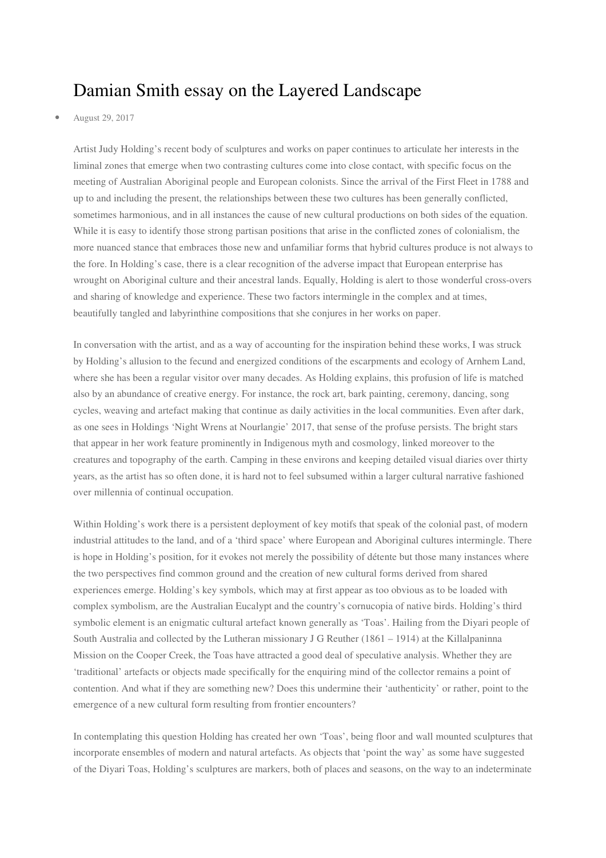## Damian Smith essay on the Layered Landscape

## • August 29, 2017

Artist Judy Holding's recent body of sculptures and works on paper continues to articulate her interests in the liminal zones that emerge when two contrasting cultures come into close contact, with specific focus on the meeting of Australian Aboriginal people and European colonists. Since the arrival of the First Fleet in 1788 and up to and including the present, the relationships between these two cultures has been generally conflicted, sometimes harmonious, and in all instances the cause of new cultural productions on both sides of the equation. While it is easy to identify those strong partisan positions that arise in the conflicted zones of colonialism, the more nuanced stance that embraces those new and unfamiliar forms that hybrid cultures produce is not always to the fore. In Holding's case, there is a clear recognition of the adverse impact that European enterprise has wrought on Aboriginal culture and their ancestral lands. Equally, Holding is alert to those wonderful cross-overs and sharing of knowledge and experience. These two factors intermingle in the complex and at times, beautifully tangled and labyrinthine compositions that she conjures in her works on paper.

In conversation with the artist, and as a way of accounting for the inspiration behind these works, I was struck by Holding's allusion to the fecund and energized conditions of the escarpments and ecology of Arnhem Land, where she has been a regular visitor over many decades. As Holding explains, this profusion of life is matched also by an abundance of creative energy. For instance, the rock art, bark painting, ceremony, dancing, song cycles, weaving and artefact making that continue as daily activities in the local communities. Even after dark, as one sees in Holdings 'Night Wrens at Nourlangie' 2017, that sense of the profuse persists. The bright stars that appear in her work feature prominently in Indigenous myth and cosmology, linked moreover to the creatures and topography of the earth. Camping in these environs and keeping detailed visual diaries over thirty years, as the artist has so often done, it is hard not to feel subsumed within a larger cultural narrative fashioned over millennia of continual occupation.

Within Holding's work there is a persistent deployment of key motifs that speak of the colonial past, of modern industrial attitudes to the land, and of a 'third space' where European and Aboriginal cultures intermingle. There is hope in Holding's position, for it evokes not merely the possibility of détente but those many instances where the two perspectives find common ground and the creation of new cultural forms derived from shared experiences emerge. Holding's key symbols, which may at first appear as too obvious as to be loaded with complex symbolism, are the Australian Eucalypt and the country's cornucopia of native birds. Holding's third symbolic element is an enigmatic cultural artefact known generally as 'Toas'. Hailing from the Diyari people of South Australia and collected by the Lutheran missionary J G Reuther (1861 – 1914) at the Killalpaninna Mission on the Cooper Creek, the Toas have attracted a good deal of speculative analysis. Whether they are 'traditional' artefacts or objects made specifically for the enquiring mind of the collector remains a point of contention. And what if they are something new? Does this undermine their 'authenticity' or rather, point to the emergence of a new cultural form resulting from frontier encounters?

In contemplating this question Holding has created her own 'Toas', being floor and wall mounted sculptures that incorporate ensembles of modern and natural artefacts. As objects that 'point the way' as some have suggested of the Diyari Toas, Holding's sculptures are markers, both of places and seasons, on the way to an indeterminate